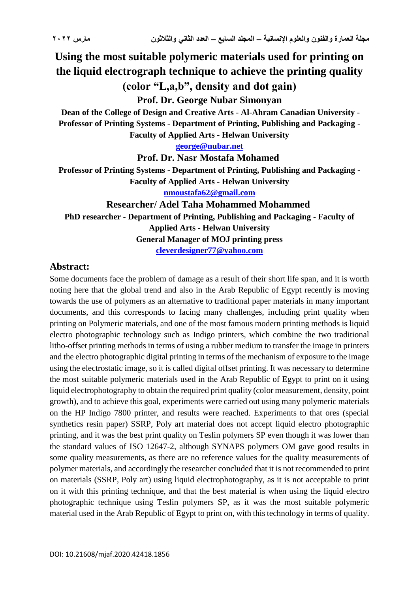# **Using the most suitable polymeric materials used for printing on the liquid electrograph technique to achieve the printing quality (color "L,a,b", density and dot gain)**

**Prof. Dr. George Nubar Simonyan** 

**Dean of the College of Design and Creative Arts - Al-Ahram Canadian University - Professor of Printing Systems - Department of Printing, Publishing and Packaging - Faculty of Applied Arts - Helwan University**

**[george@nubar.net](mailto:george@nubar.net)**

**Prof. Dr. Nasr Mostafa Mohamed**

**Professor of Printing Systems - Department of Printing, Publishing and Packaging - Faculty of Applied Arts - Helwan University [nmoustafa62@gmail.com](mailto:nmoustafa62@gmail.com)**

**Researcher/ Adel Taha Mohammed Mohammed PhD researcher - Department of Printing, Publishing and Packaging - Faculty of Applied Arts - Helwan University General Manager of MOJ printing press [cleverdesigner77@yahoo.com](mailto:cleverdesigner77@yahoo.com)**

### **Abstract:**

Some documents face the problem of damage as a result of their short life span, and it is worth noting here that the global trend and also in the Arab Republic of Egypt recently is moving towards the use of polymers as an alternative to traditional paper materials in many important documents, and this corresponds to facing many challenges, including print quality when printing on Polymeric materials, and one of the most famous modern printing methods is liquid electro photographic technology such as Indigo printers, which combine the two traditional litho-offset printing methods in terms of using a rubber medium to transfer the image in printers and the electro photographic digital printing in terms of the mechanism of exposure to the image using the electrostatic image, so it is called digital offset printing. It was necessary to determine the most suitable polymeric materials used in the Arab Republic of Egypt to print on it using liquid electrophotography to obtain the required print quality (color measurement, density, point growth), and to achieve this goal, experiments were carried out using many polymeric materials on the HP Indigo 7800 printer, and results were reached. Experiments to that ores (special synthetics resin paper) SSRP, Poly art material does not accept liquid electro photographic printing, and it was the best print quality on Teslin polymers SP even though it was lower than the standard values of ISO 12647-2, although SYNAPS polymers OM gave good results in some quality measurements, as there are no reference values for the quality measurements of polymer materials, and accordingly the researcher concluded that it is not recommended to print on materials (SSRP, Poly art) using liquid electrophotography, as it is not acceptable to print on it with this printing technique, and that the best material is when using the liquid electro photographic technique using Teslin polymers SP, as it was the most suitable polymeric material used in the Arab Republic of Egypt to print on, with this technology in terms of quality.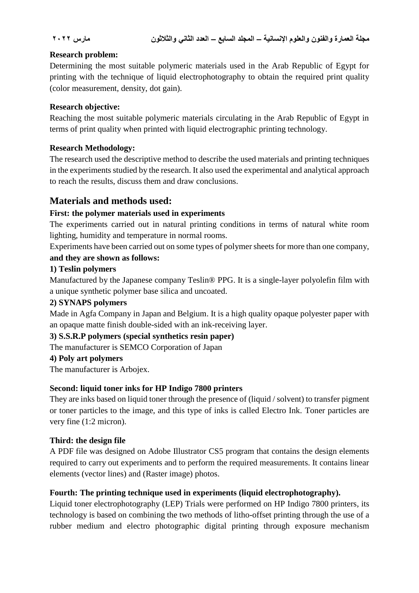#### **Research problem:**

Determining the most suitable polymeric materials used in the Arab Republic of Egypt for printing with the technique of liquid electrophotography to obtain the required print quality (color measurement, density, dot gain).

#### **Research objective:**

Reaching the most suitable polymeric materials circulating in the Arab Republic of Egypt in terms of print quality when printed with liquid electrographic printing technology.

#### **Research Methodology:**

The research used the descriptive method to describe the used materials and printing techniques in the experiments studied by the research. It also used the experimental and analytical approach to reach the results, discuss them and draw conclusions.

# **Materials and methods used:**

### **First: the polymer materials used in experiments**

The experiments carried out in natural printing conditions in terms of natural white room lighting, humidity and temperature in normal rooms.

Experiments have been carried out on some types of polymer sheets for more than one company,

#### **and they are shown as follows:**

#### **1) Teslin polymers**

Manufactured by the Japanese company Teslin® PPG. It is a single-layer polyolefin film with a unique synthetic polymer base silica and uncoated.

#### **2) SYNAPS polymers**

Made in Agfa Company in Japan and Belgium. It is a high quality opaque polyester paper with an opaque matte finish double-sided with an ink-receiving layer.

#### **3) S.S.R.P polymers (special synthetics resin paper)**

The manufacturer is SEMCO Corporation of Japan

#### **4) Poly art polymers**

The manufacturer is Arbojex.

#### **Second: liquid toner inks for HP Indigo 7800 printers**

They are inks based on liquid toner through the presence of (liquid / solvent) to transfer pigment or toner particles to the image, and this type of inks is called Electro Ink. Toner particles are very fine (1:2 micron).

#### **Third: the design file**

A PDF file was designed on Adobe Illustrator CS5 program that contains the design elements required to carry out experiments and to perform the required measurements. It contains linear elements (vector lines) and (Raster image) photos.

#### **Fourth: The printing technique used in experiments (liquid electrophotography).**

Liquid toner electrophotography (LEP) Trials were performed on HP Indigo 7800 printers, its technology is based on combining the two methods of litho-offset printing through the use of a rubber medium and electro photographic digital printing through exposure mechanism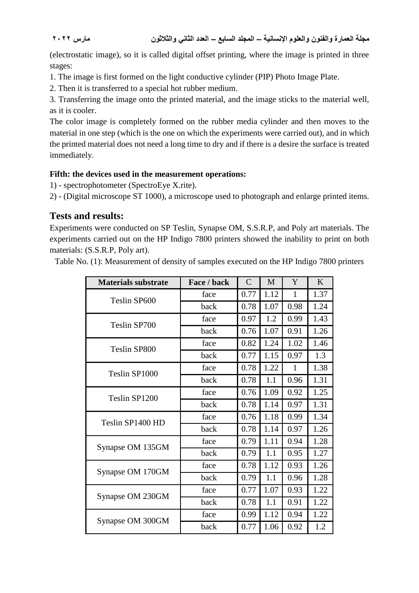(electrostatic image), so it is called digital offset printing, where the image is printed in three stages:

1. The image is first formed on the light conductive cylinder (PIP) Photo Image Plate.

2. Then it is transferred to a special hot rubber medium.

3. Transferring the image onto the printed material, and the image sticks to the material well, as it is cooler.

The color image is completely formed on the rubber media cylinder and then moves to the material in one step (which is the one on which the experiments were carried out), and in which the printed material does not need a long time to dry and if there is a desire the surface is treated immediately.

#### **Fifth: the devices used in the measurement operations:**

1) - spectrophotometer (SpectroEye X.rite).

2) - (Digital microscope ST 1000), a microscope used to photograph and enlarge printed items.

### **Tests and results:**

Experiments were conducted on SP Teslin, Synapse OM, S.S.R.P, and Poly art materials. The experiments carried out on the HP Indigo 7800 printers showed the inability to print on both materials: (S.S.R.P, Poly art).

Table No. (1): Measurement of density of samples executed on the HP Indigo 7800 printers

| <b>Materials substrate</b> | Face / back | $\mathcal{C}$ | M    | Y    | K    |
|----------------------------|-------------|---------------|------|------|------|
| Teslin SP600               | face        | 0.77          | 1.12 | 1    | 1.37 |
|                            | back        | 0.78          | 1.07 | 0.98 | 1.24 |
| Teslin SP700               | face        | 0.97          | 1.2  | 0.99 | 1.43 |
|                            | back        | 0.76          | 1.07 | 0.91 | 1.26 |
| Teslin SP800               | face        | 0.82          | 1.24 | 1.02 | 1.46 |
|                            | back        | 0.77          | 1.15 | 0.97 | 1.3  |
| Teslin SP1000              | face        | 0.78          | 1.22 | 1    | 1.38 |
|                            | back        | 0.78          | 1.1  | 0.96 | 1.31 |
| Teslin SP1200              | face        | 0.76          | 1.09 | 0.92 | 1.25 |
|                            | back        | 0.78          | 1.14 | 0.97 | 1.31 |
| Teslin SP1400 HD           | face        | 0.76          | 1.18 | 0.99 | 1.34 |
|                            | back        | 0.78          | 1.14 | 0.97 | 1.26 |
| Synapse OM 135GM           | face        | 0.79          | 1.11 | 0.94 | 1.28 |
|                            | back        | 0.79          | 1.1  | 0.95 | 1.27 |
| Synapse OM 170GM           | face        | 0.78          | 1.12 | 0.93 | 1.26 |
|                            | back        | 0.79          | 1.1  | 0.96 | 1.28 |
| Synapse OM 230GM           | face        | 0.77          | 1.07 | 0.93 | 1.22 |
|                            | back        | 0.78          | 1.1  | 0.91 | 1.22 |
|                            | face        | 0.99          | 1.12 | 0.94 | 1.22 |
| Synapse OM 300GM           | back        | 0.77          | 1.06 | 0.92 | 1.2  |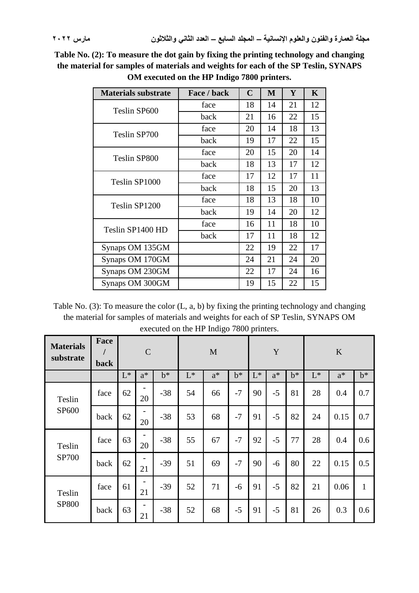**Table No. (2): To measure the dot gain by fixing the printing technology and changing the material for samples of materials and weights for each of the SP Teslin, SYNAPS OM executed on the HP Indigo 7800 printers.**

| <b>Materials substrate</b> | Face / back | $\mathbf C$ | M  | Y  | $\mathbf K$ |
|----------------------------|-------------|-------------|----|----|-------------|
| Teslin SP600               | face        | 18          | 14 | 21 | 12          |
|                            | back        | 21          | 16 | 22 | 15          |
| Teslin SP700               | face        | 20          | 14 | 18 | 13          |
|                            | back        | 19          | 17 | 22 | 15          |
| Teslin SP800               | face        | 20          | 15 | 20 | 14          |
|                            | back        | 18          | 13 | 17 | 12          |
| Teslin SP1000              | face        | 17          | 12 | 17 | 11          |
|                            | back        | 18          | 15 | 20 | 13          |
| Teslin SP1200              | face        | 18          | 13 | 18 | 10          |
|                            | back        | 19          | 14 | 20 | 12          |
| Teslin SP1400 HD           | face        | 16          | 11 | 18 | 10          |
|                            | back        | 17          | 11 | 18 | 12          |
| Synaps OM 135GM            |             | 22          | 19 | 22 | 17          |
| Synaps OM 170GM            |             | 24          | 21 | 24 | 20          |
| Synaps OM 230GM            |             | 22          | 17 | 24 | 16          |
| Synaps OM 300GM            |             | 19          | 15 | 22 | 15          |

Table No. (3): To measure the color (L, a, b) by fixing the printing technology and changing the material for samples of materials and weights for each of SP Teslin, SYNAPS OM executed on the HP Indigo 7800 printers.

| <b>Materials</b><br>substrate | Face<br>back |                | $\mathbf C$                    |       |       | M     |       |                | Y     |       |       | K     |              |  |
|-------------------------------|--------------|----------------|--------------------------------|-------|-------|-------|-------|----------------|-------|-------|-------|-------|--------------|--|
|                               |              | $\mathrm{L}^*$ | $a^*$                          | $b^*$ | $L^*$ | $a^*$ | $b^*$ | $\mathbf{L}^*$ | $a^*$ | $b^*$ | $L^*$ | $a^*$ | $b^*$        |  |
| Teslin<br>SP <sub>600</sub>   | face         | 62             | $\overline{\phantom{0}}$<br>20 | $-38$ | 54    | 66    | $-7$  | 90             | $-5$  | 81    | 28    | 0.4   | 0.7          |  |
|                               | back         | 62             | 20                             | $-38$ | 53    | 68    | $-7$  | 91             | $-5$  | 82    | 24    | 0.15  | 0.7          |  |
| Teslin<br><b>SP700</b>        | face         | 63             | 20                             | $-38$ | 55    | 67    | $-7$  | 92             | $-5$  | 77    | 28    | 0.4   | 0.6          |  |
|                               | back         | 62             | 21                             | $-39$ | 51    | 69    | $-7$  | 90             | -6    | 80    | 22    | 0.15  | 0.5          |  |
| Teslin<br>SP800               | face         | 61             | 21                             | $-39$ | 52    | 71    | $-6$  | 91             | $-5$  | 82    | 21    | 0.06  | $\mathbf{1}$ |  |
|                               | back         | 63             | 21                             | $-38$ | 52    | 68    | $-5$  | 91             | $-5$  | 81    | 26    | 0.3   | 0.6          |  |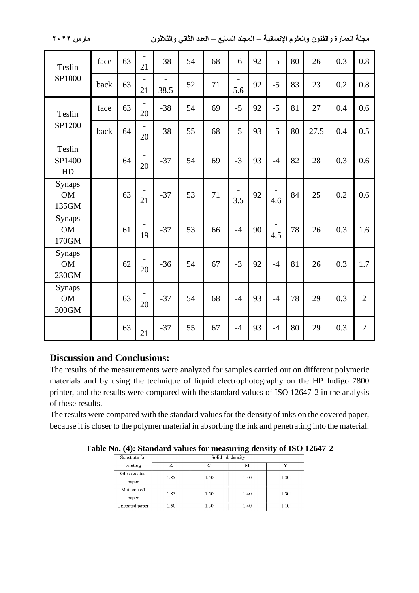**مجلة العمارة والفنون والعلوم اإلنسانية – المجلد السابع – العدد الثاني والثالثون مارس 2022**

| Teslin                                | face | 63 | 21                             | $-38$ | 54 | 68 | $-6$ | 92 | $-5$ | 80 | 26   | 0.3 | 0.8            |
|---------------------------------------|------|----|--------------------------------|-------|----|----|------|----|------|----|------|-----|----------------|
| SP1000                                | back | 63 | 21                             | 38.5  | 52 | 71 | 5.6  | 92 | $-5$ | 83 | 23   | 0.2 | 0.8            |
| Teslin                                | face | 63 | 20                             | $-38$ | 54 | 69 | $-5$ | 92 | $-5$ | 81 | 27   | 0.4 | 0.6            |
| SP1200                                | back | 64 | 20                             | $-38$ | 55 | 68 | $-5$ | 93 | $-5$ | 80 | 27.5 | 0.4 | 0.5            |
| Teslin<br>SP1400<br>HD                |      | 64 | 20                             | $-37$ | 54 | 69 | $-3$ | 93 | $-4$ | 82 | 28   | 0.3 | 0.6            |
| Synaps<br><b>OM</b><br>135GM          |      | 63 | 21                             | $-37$ | 53 | 71 | 3.5  | 92 | 4.6  | 84 | 25   | 0.2 | 0.6            |
| Synaps<br><b>OM</b><br>170GM          |      | 61 | 19                             | $-37$ | 53 | 66 | $-4$ | 90 | 4.5  | 78 | 26   | 0.3 | 1.6            |
| Synaps<br><b>OM</b><br>230GM          |      | 62 | 20                             | $-36$ | 54 | 67 | $-3$ | 92 | $-4$ | 81 | 26   | 0.3 | 1.7            |
| Synaps<br><b>OM</b><br>$300\mbox{GM}$ |      | 63 | 20                             | $-37$ | 54 | 68 | $-4$ | 93 | $-4$ | 78 | 29   | 0.3 | $\overline{2}$ |
|                                       |      | 63 | $\overline{\phantom{0}}$<br>21 | $-37$ | 55 | 67 | $-4$ | 93 | $-4$ | 80 | 29   | 0.3 | $\overline{2}$ |

#### **Discussion and Conclusions:**

The results of the measurements were analyzed for samples carried out on different polymeric materials and by using the technique of liquid electrophotography on the HP Indigo 7800 printer, and the results were compared with the standard values of ISO 12647-2 in the analysis of these results.

The results were compared with the standard values for the density of inks on the covered paper, because it is closer to the polymer material in absorbing the ink and penetrating into the material.

**Table No. (4): Standard values for measuring density of ISO 12647-2**

| Substrate for         | Solid ink density |      |      |              |  |  |  |  |  |  |  |
|-----------------------|-------------------|------|------|--------------|--|--|--|--|--|--|--|
| printing              | K                 | ⌒    | M    | $\mathbf{v}$ |  |  |  |  |  |  |  |
| Gloss coated<br>paper | 1.85              | 1.50 | 1.40 | 1.30         |  |  |  |  |  |  |  |
| Matt coated<br>paper  | 1.85              | 1.50 | 1.40 | 1.30         |  |  |  |  |  |  |  |
| Uncoated paper        | 1.50              | 1.30 | 1.40 | 1.10         |  |  |  |  |  |  |  |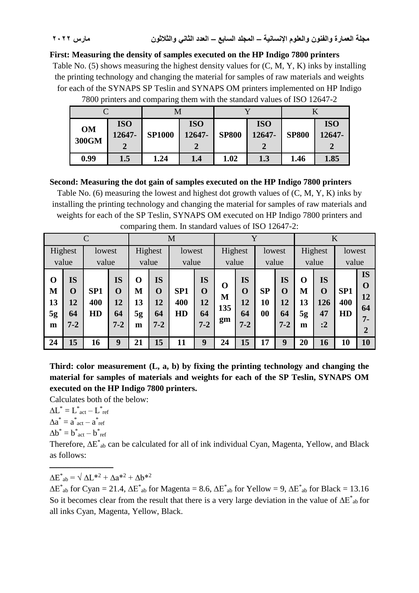#### **First: Measuring the density of samples executed on the HP Indigo 7800 printers**

Table No. (5) shows measuring the highest density values for (C, M, Y, K) inks by installing the printing technology and changing the material for samples of raw materials and weights for each of the SYNAPS SP Teslin and SYNAPS OM printers implemented on HP Indigo

|                    |                           | M             |                      |              |                      |              |                      |  |
|--------------------|---------------------------|---------------|----------------------|--------------|----------------------|--------------|----------------------|--|
| <b>OM</b><br>300GM | <b>ISO</b><br>12647-<br>റ | <b>SP1000</b> | <b>ISO</b><br>12647- | <b>SP800</b> | <b>ISO</b><br>12647- | <b>SP800</b> | <b>ISO</b><br>12647- |  |
| 0.99               | $1.5\,$                   | 1.24          | 1.4                  | 1.02         | 1.3                  | 1.46         | 1.85                 |  |

7800 printers and comparing them with the standard values of ISO 12647-2

#### **Second: Measuring the dot gain of samples executed on the HP Indigo 7800 printers**

Table No. (6) measuring the lowest and highest dot growth values of (C, M, Y, K) inks by installing the printing technology and changing the material for samples of raw materials and weights for each of the SP Teslin, SYNAPS OM executed on HP Indigo 7800 printers and comparing them. In standard values of ISO 12647-2:

|                                   |                                                 | $\Gamma$                     |                                                 |                         | Y<br>M                                          |                                     |                                                 |                     | K                                     |                |                                          |                                   |                                             |                              |                                                              |
|-----------------------------------|-------------------------------------------------|------------------------------|-------------------------------------------------|-------------------------|-------------------------------------------------|-------------------------------------|-------------------------------------------------|---------------------|---------------------------------------|----------------|------------------------------------------|-----------------------------------|---------------------------------------------|------------------------------|--------------------------------------------------------------|
|                                   | Highest<br>lowest<br>value<br>value             |                              |                                                 | Highest<br>value        |                                                 | Highest<br>lowest<br>value<br>value |                                                 |                     |                                       |                | lowest<br>value                          |                                   | Highest<br>value                            | lowest<br>value              |                                                              |
| $\mathbf 0$<br>M<br>13<br>5g<br>m | <b>IS</b><br>$\mathbf 0$<br>12<br>64<br>$7 - 2$ | SP <sub>1</sub><br>400<br>HD | <b>IS</b><br>$\mathbf 0$<br>12<br>64<br>$7 - 2$ | O<br>М<br>13<br>5g<br>m | <b>IS</b><br>$\mathbf 0$<br>12<br>64<br>$7 - 2$ | SP <sub>1</sub><br>400<br>HD        | <b>IS</b><br>$\mathbf 0$<br>12<br>64<br>$7 - 2$ | O<br>M<br>135<br>gm | <b>IS</b><br>O<br>12<br>64<br>$7 - 2$ | SP<br>10<br>00 | IS<br>$\mathbf 0$<br>12<br>64<br>$7 - 2$ | $\mathbf 0$<br>M<br>13<br>5g<br>m | <b>IS</b><br>$\mathbf 0$<br>126<br>47<br>:2 | SP <sub>1</sub><br>400<br>HD | <b>IS</b><br>$\Omega$<br>12<br>64<br>$7 -$<br>$\overline{2}$ |
| 24                                | 15                                              | 16                           | 9                                               | 21                      | 15                                              | 11                                  | 9                                               | 24                  | 15                                    | 17             | 9                                        | 20                                | 16                                          | 10                           | 10                                                           |

**Third: color measurement (L, a, b) by fixing the printing technology and changing the material for samples of materials and weights for each of the SP Teslin, SYNAPS OM executed on the HP Indigo 7800 printers.**

Calculates both of the below:

 $\Delta L^* = L^*_{act} - L^*_{ref}$  $\Delta a^* = a^*_{act} - a^*_{ref}$  $\Delta b^* = b^*_{act} - b^*_{ref}$ Therefore,  $\Delta E^*$ <sub>ab</sub> can be calculated for all of ink individual Cyan, Magenta, Yellow, and Black as follows:

ــــــــــــــــــــــــــــــــــــ  $\Delta E^*{}_{ab} = \sqrt{\Delta L^{*2} + \Delta a^{*2} + \Delta b^{*2}}$ 

 $\Delta E^*$ <sub>ab</sub> for Cyan = 21.4,  $\Delta E^*$ <sub>ab</sub> for Magenta = 8.6,  $\Delta E^*$ <sub>ab</sub> for Yellow = 9,  $\Delta E^*$ <sub>ab</sub> for Black = 13.16 So it becomes clear from the result that there is a very large deviation in the value of  $\Delta E^*$ <sub>ab</sub> for all inks Cyan, Magenta, Yellow, Black.